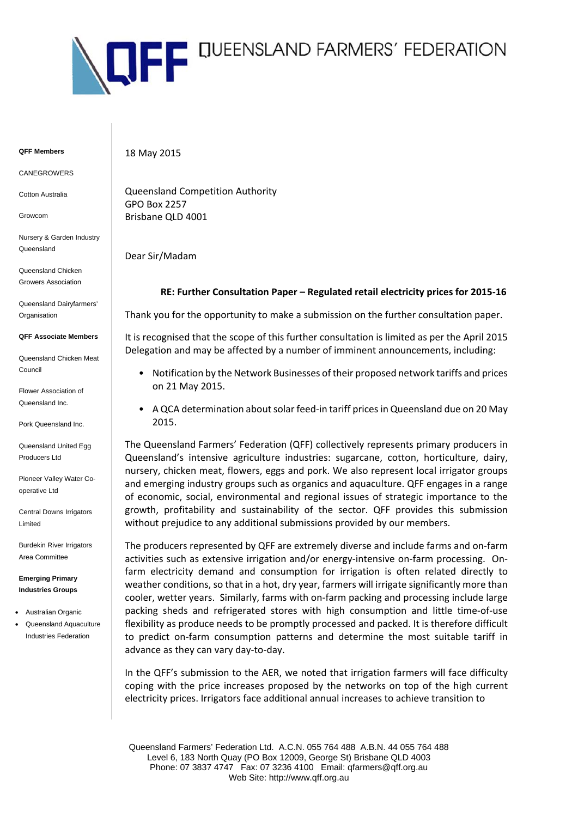

## **QFF Members**

**CANEGROWERS** 

Cotton Australia

Growcom

Nursery & Garden Industry Queensland

Queensland Chicken Growers Association

Queensland Dairyfarmers' Organisation

## **QFF Associate Members**

Queensland Chicken Meat Council

Flower Association of Queensland Inc.

Pork Queensland Inc.

Queensland United Egg Producers Ltd

Pioneer Valley Water Cooperative Ltd

Central Downs Irrigators Limited

Burdekin River Irrigators Area Committee

**Emerging Primary Industries Groups** 

- Australian Organic
- Queensland Aquaculture Industries Federation

18 May 2015

Queensland Competition Authority GPO Box 2257 Brisbane QLD 4001

Dear Sir/Madam

## **RE: Further Consultation Paper – Regulated retail electricity prices for 2015‐16**

Thank you for the opportunity to make a submission on the further consultation paper.

It is recognised that the scope of this further consultation is limited as per the April 2015 Delegation and may be affected by a number of imminent announcements, including:

- Notification by the Network Businesses of their proposed network tariffs and prices on 21 May 2015.
- A QCA determination about solar feed-in tariff prices in Queensland due on 20 May 2015.

The Queensland Farmers' Federation (QFF) collectively represents primary producers in Queensland's intensive agriculture industries: sugarcane, cotton, horticulture, dairy, nursery, chicken meat, flowers, eggs and pork. We also represent local irrigator groups and emerging industry groups such as organics and aquaculture. QFF engages in a range of economic, social, environmental and regional issues of strategic importance to the growth, profitability and sustainability of the sector. QFF provides this submission without prejudice to any additional submissions provided by our members.

The producers represented by QFF are extremely diverse and include farms and on‐farm activities such as extensive irrigation and/or energy-intensive on-farm processing. Onfarm electricity demand and consumption for irrigation is often related directly to weather conditions, so that in a hot, dry year, farmers will irrigate significantly more than cooler, wetter years. Similarly, farms with on-farm packing and processing include large packing sheds and refrigerated stores with high consumption and little time‐of‐use flexibility as produce needs to be promptly processed and packed. It is therefore difficult to predict on‐farm consumption patterns and determine the most suitable tariff in advance as they can vary day‐to‐day.

In the QFF's submission to the AER, we noted that irrigation farmers will face difficulty coping with the price increases proposed by the networks on top of the high current electricity prices. Irrigators face additional annual increases to achieve transition to

Queensland Farmers' Federation Ltd. A.C.N. 055 764 488 A.B.N. 44 055 764 488 Level 6, 183 North Quay (PO Box 12009, George St) Brisbane QLD 4003 Phone: 07 3837 4747 Fax: 07 3236 4100 Email: qfarmers@qff.org.au Web Site: http://www.qff.org.au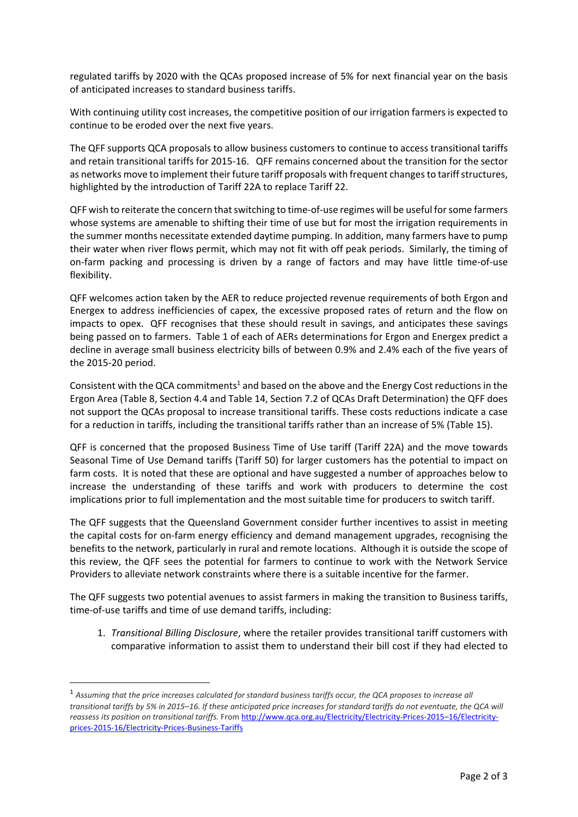regulated tariffs by 2020 with the QCAs proposed increase of 5% for next financial year on the basis of anticipated increases to standard business tariffs.

With continuing utility cost increases, the competitive position of our irrigation farmers is expected to continue to be eroded over the next five years.

The QFF supports QCA proposals to allow business customers to continue to access transitional tariffs and retain transitional tariffs for 2015‐16. QFF remains concerned about the transition for the sector as networks move to implement their future tariff proposals with frequent changes to tariff structures, highlighted by the introduction of Tariff 22A to replace Tariff 22.

QFF wish to reiterate the concern that switching to time-of-use regimes will be useful for some farmers whose systems are amenable to shifting their time of use but for most the irrigation requirements in the summer months necessitate extended daytime pumping. In addition, many farmers have to pump their water when river flows permit, which may not fit with off peak periods. Similarly, the timing of on‐farm packing and processing is driven by a range of factors and may have little time‐of‐use flexibility.

QFF welcomes action taken by the AER to reduce projected revenue requirements of both Ergon and Energex to address inefficiencies of capex, the excessive proposed rates of return and the flow on impacts to opex. QFF recognises that these should result in savings, and anticipates these savings being passed on to farmers. Table 1 of each of AERs determinations for Ergon and Energex predict a decline in average small business electricity bills of between 0.9% and 2.4% each of the five years of the 2015‐20 period.

Consistent with the QCA commitments<sup>1</sup> and based on the above and the Energy Cost reductions in the Ergon Area (Table 8, Section 4.4 and Table 14, Section 7.2 of QCAs Draft Determination) the QFF does not support the QCAs proposal to increase transitional tariffs. These costs reductions indicate a case for a reduction in tariffs, including the transitional tariffs rather than an increase of 5% (Table 15).

QFF is concerned that the proposed Business Time of Use tariff (Tariff 22A) and the move towards Seasonal Time of Use Demand tariffs (Tariff 50) for larger customers has the potential to impact on farm costs. It is noted that these are optional and have suggested a number of approaches below to increase the understanding of these tariffs and work with producers to determine the cost implications prior to full implementation and the most suitable time for producers to switch tariff.

The QFF suggests that the Queensland Government consider further incentives to assist in meeting the capital costs for on‐farm energy efficiency and demand management upgrades, recognising the benefits to the network, particularly in rural and remote locations. Although it is outside the scope of this review, the QFF sees the potential for farmers to continue to work with the Network Service Providers to alleviate network constraints where there is a suitable incentive for the farmer.

The QFF suggests two potential avenues to assist farmers in making the transition to Business tariffs, time‐of‐use tariffs and time of use demand tariffs, including:

1. *Transitional Billing Disclosure*, where the retailer provides transitional tariff customers with comparative information to assist them to understand their bill cost if they had elected to

<sup>&</sup>lt;sup>1</sup> Assumina that the price increases calculated for standard business tariffs occur, the QCA proposes to increase all transitional tariffs by 5% in 2015-16. If these anticipated price increases for standard tariffs do not eventuate, the QCA will *reassess its position on transitional tariffs.* From http://www.qca.org.au/Electricity/Electricity‐Prices‐2015–16/Electricity‐ prices‐2015‐16/Electricity‐Prices‐Business‐Tariffs